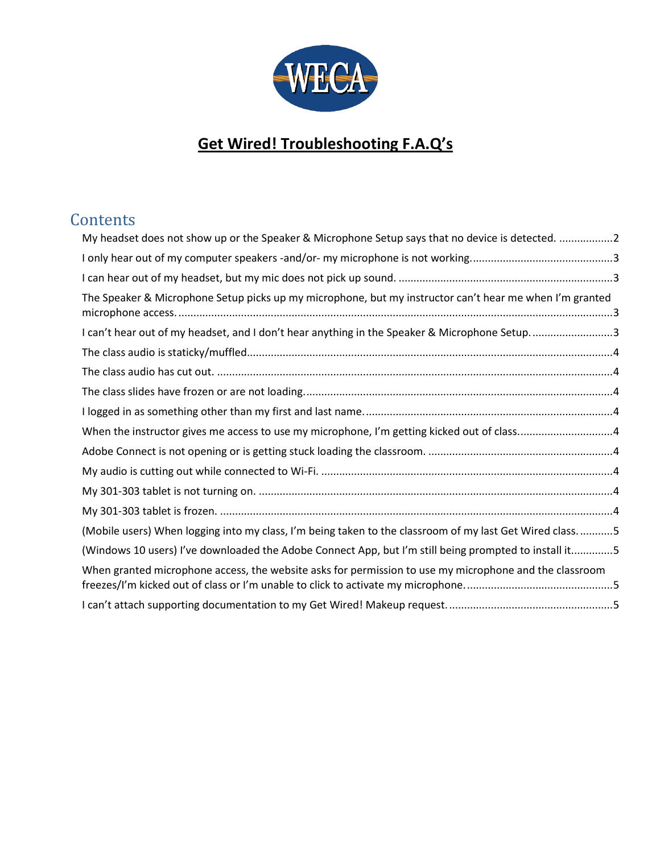

# **Get Wired! Troubleshooting F.A.Q's**

## **Contents**

| My headset does not show up or the Speaker & Microphone Setup says that no device is detected. 2          |  |
|-----------------------------------------------------------------------------------------------------------|--|
|                                                                                                           |  |
|                                                                                                           |  |
| The Speaker & Microphone Setup picks up my microphone, but my instructor can't hear me when I'm granted   |  |
| I can't hear out of my headset, and I don't hear anything in the Speaker & Microphone Setup3              |  |
|                                                                                                           |  |
|                                                                                                           |  |
|                                                                                                           |  |
|                                                                                                           |  |
| When the instructor gives me access to use my microphone, I'm getting kicked out of class4                |  |
|                                                                                                           |  |
|                                                                                                           |  |
|                                                                                                           |  |
|                                                                                                           |  |
| (Mobile users) When logging into my class, I'm being taken to the classroom of my last Get Wired class. 5 |  |
| (Windows 10 users) I've downloaded the Adobe Connect App, but I'm still being prompted to install it5     |  |
| When granted microphone access, the website asks for permission to use my microphone and the classroom    |  |
|                                                                                                           |  |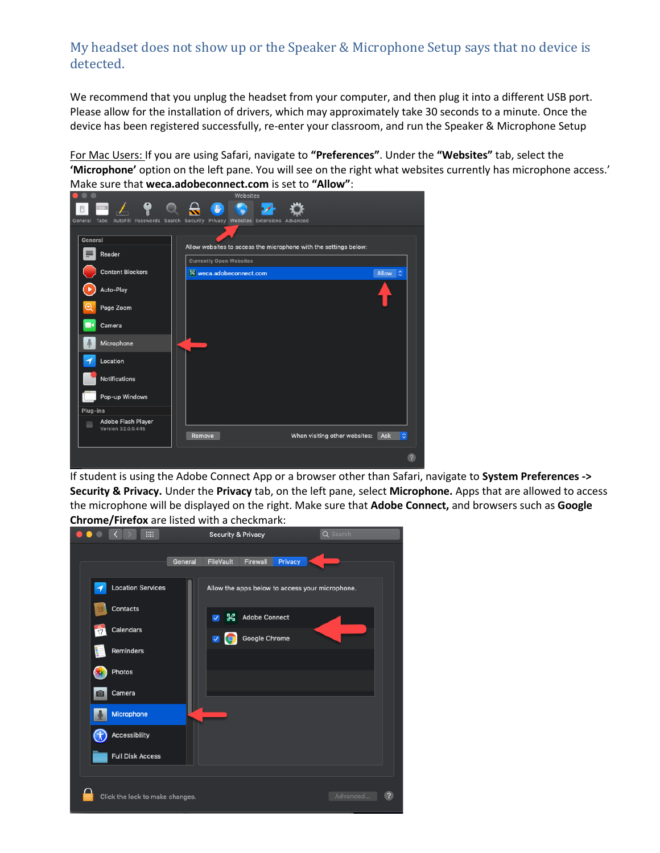## <span id="page-1-0"></span>My headset does not show up or the Speaker & Microphone Setup says that no device is detected.

We recommend that you unplug the headset from your computer, and then plug it into a different USB port. Please allow for the installation of drivers, which may approximately take 30 seconds to a minute. Once the device has been registered successfully, re-enter your classroom, and run the Speaker & Microphone Setup

For Mac Users: If you are using Safari, navigate to **"Preferences"**. Under the **"Websites"** tab, select the **'Microphone'** option on the left pane. You will see on the right what websites currently has microphone access.' Make sure that **weca.adobeconnect.com** is set to **"Allow"**:



If student is using the Adobe Connect App or a browser other than Safari, navigate to **System Preferences -> Security & Privacy.** Under the **Privacy** tab, on the left pane, select **Microphone.** Apps that are allowed to access the microphone will be displayed on the right. Make sure that **Adobe Connect,** and browsers such as **Google Chrome/Firefox** are listed with a checkmark:

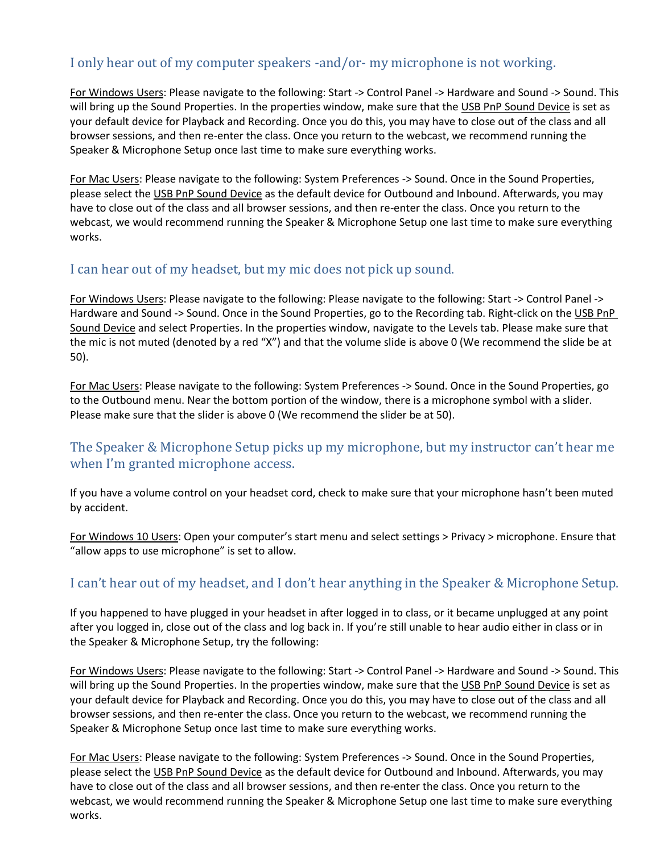## <span id="page-2-0"></span>I only hear out of my computer speakers -and/or- my microphone is not working.

For Windows Users: Please navigate to the following: Start -> Control Panel -> Hardware and Sound -> Sound. This will bring up the Sound Properties. In the properties window, make sure that the USB PnP Sound Device is set as your default device for Playback and Recording. Once you do this, you may have to close out of the class and all browser sessions, and then re-enter the class. Once you return to the webcast, we recommend running the Speaker & Microphone Setup once last time to make sure everything works.

For Mac Users: Please navigate to the following: System Preferences -> Sound. Once in the Sound Properties, please select the USB PnP Sound Device as the default device for Outbound and Inbound. Afterwards, you may have to close out of the class and all browser sessions, and then re-enter the class. Once you return to the webcast, we would recommend running the Speaker & Microphone Setup one last time to make sure everything works.

#### <span id="page-2-1"></span>I can hear out of my headset, but my mic does not pick up sound.

For Windows Users: Please navigate to the following: Please navigate to the following: Start -> Control Panel -> Hardware and Sound -> Sound. Once in the Sound Properties, go to the Recording tab. Right-click on the USB PnP Sound Device and select Properties. In the properties window, navigate to the Levels tab. Please make sure that the mic is not muted (denoted by a red "X") and that the volume slide is above 0 (We recommend the slide be at 50).

For Mac Users: Please navigate to the following: System Preferences -> Sound. Once in the Sound Properties, go to the Outbound menu. Near the bottom portion of the window, there is a microphone symbol with a slider. Please make sure that the slider is above 0 (We recommend the slider be at 50).

## <span id="page-2-2"></span>The Speaker & Microphone Setup picks up my microphone, but my instructor can't hear me when I'm granted microphone access.

If you have a volume control on your headset cord, check to make sure that your microphone hasn't been muted by accident.

For Windows 10 Users: Open your computer's start menu and select settings > Privacy > microphone. Ensure that "allow apps to use microphone" is set to allow.

## <span id="page-2-3"></span>I can't hear out of my headset, and I don't hear anything in the Speaker & Microphone Setup.

If you happened to have plugged in your headset in after logged in to class, or it became unplugged at any point after you logged in, close out of the class and log back in. If you're still unable to hear audio either in class or in the Speaker & Microphone Setup, try the following:

For Windows Users: Please navigate to the following: Start -> Control Panel -> Hardware and Sound -> Sound. This will bring up the Sound Properties. In the properties window, make sure that the USB PnP Sound Device is set as your default device for Playback and Recording. Once you do this, you may have to close out of the class and all browser sessions, and then re-enter the class. Once you return to the webcast, we recommend running the Speaker & Microphone Setup once last time to make sure everything works.

For Mac Users: Please navigate to the following: System Preferences -> Sound. Once in the Sound Properties, please select the USB PnP Sound Device as the default device for Outbound and Inbound. Afterwards, you may have to close out of the class and all browser sessions, and then re-enter the class. Once you return to the webcast, we would recommend running the Speaker & Microphone Setup one last time to make sure everything works.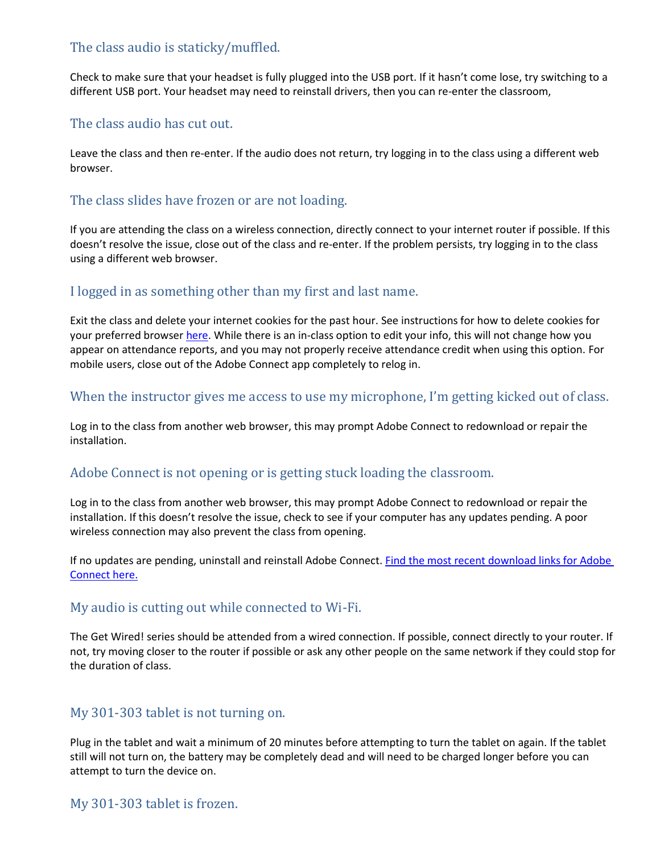## <span id="page-3-0"></span>The class audio is staticky/muffled.

Check to make sure that your headset is fully plugged into the USB port. If it hasn't come lose, try switching to a different USB port. Your headset may need to reinstall drivers, then you can re-enter the classroom,

#### <span id="page-3-1"></span>The class audio has cut out.

Leave the class and then re-enter. If the audio does not return, try logging in to the class using a different web browser.

## <span id="page-3-2"></span>The class slides have frozen or are not loading.

If you are attending the class on a wireless connection, directly connect to your internet router if possible. If this doesn't resolve the issue, close out of the class and re-enter. If the problem persists, try logging in to the class using a different web browser.

## <span id="page-3-3"></span>I logged in as something other than my first and last name.

Exit the class and delete your internet cookies for the past hour. See instructions for how to delete cookies for your preferred browse[r here.](https://us.norton.com/internetsecurity-privacy-how-to-clear-cookies.html) While there is an in-class option to edit your info, this will not change how you appear on attendance reports, and you may not properly receive attendance credit when using this option. For mobile users, close out of the Adobe Connect app completely to relog in.

#### <span id="page-3-4"></span>When the instructor gives me access to use my microphone, I'm getting kicked out of class.

Log in to the class from another web browser, this may prompt Adobe Connect to redownload or repair the installation.

## <span id="page-3-5"></span>Adobe Connect is not opening or is getting stuck loading the classroom.

Log in to the class from another web browser, this may prompt Adobe Connect to redownload or repair the installation. If this doesn't resolve the issue, check to see if your computer has any updates pending. A poor wireless connection may also prevent the class from opening.

If no updates are pending, uninstall and reinstall Adobe Connect. [Find the most recent download links for Adobe](https://helpx.adobe.com/adobe-connect/connect-downloads-updates.html#Application)  [Connect here.](https://helpx.adobe.com/adobe-connect/connect-downloads-updates.html#Application)

#### <span id="page-3-6"></span>My audio is cutting out while connected to Wi-Fi.

The Get Wired! series should be attended from a wired connection. If possible, connect directly to your router. If not, try moving closer to the router if possible or ask any other people on the same network if they could stop for the duration of class.

#### <span id="page-3-7"></span>My 301-303 tablet is not turning on.

Plug in the tablet and wait a minimum of 20 minutes before attempting to turn the tablet on again. If the tablet still will not turn on, the battery may be completely dead and will need to be charged longer before you can attempt to turn the device on.

#### <span id="page-3-8"></span>My 301-303 tablet is frozen.